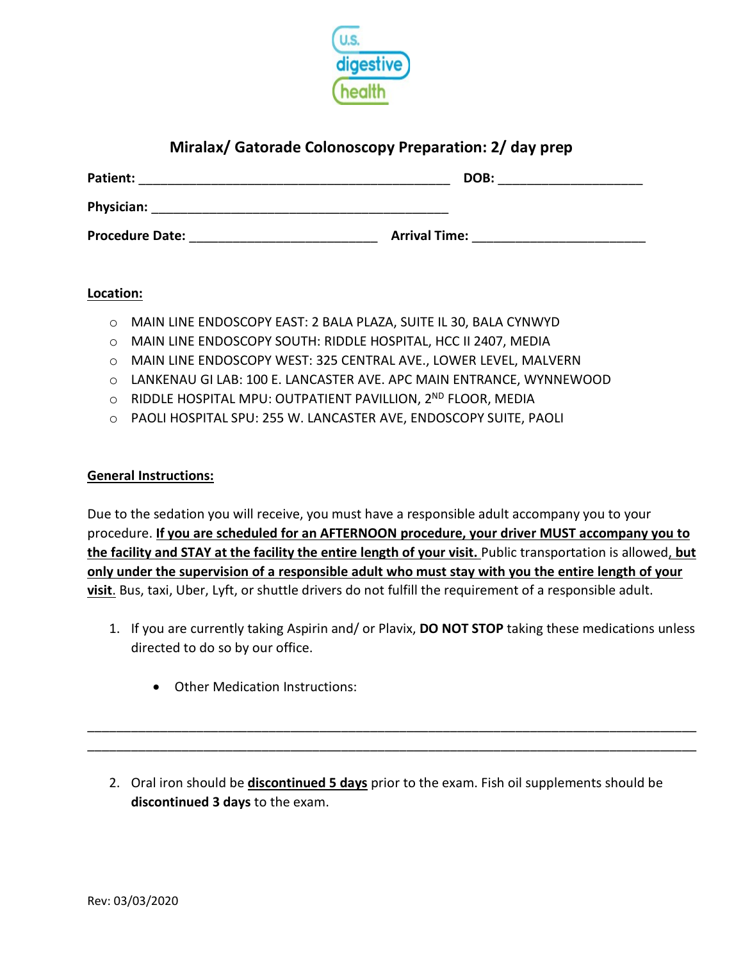

## **Miralax/ Gatorade Colonoscopy Preparation: 2/ day prep**

| Patient:               | DOB:                 |
|------------------------|----------------------|
| Physician:             |                      |
| <b>Procedure Date:</b> | <b>Arrival Time:</b> |

#### **Location:**

- o MAIN LINE ENDOSCOPY EAST: 2 BALA PLAZA, SUITE IL 30, BALA CYNWYD
- o MAIN LINE ENDOSCOPY SOUTH: RIDDLE HOSPITAL, HCC II 2407, MEDIA
- o MAIN LINE ENDOSCOPY WEST: 325 CENTRAL AVE., LOWER LEVEL, MALVERN
- o LANKENAU GI LAB: 100 E. LANCASTER AVE. APC MAIN ENTRANCE, WYNNEWOOD
- o RIDDLE HOSPITAL MPU: OUTPATIENT PAVILLION, 2ND FLOOR, MEDIA
- o PAOLI HOSPITAL SPU: 255 W. LANCASTER AVE, ENDOSCOPY SUITE, PAOLI

#### **General Instructions:**

Due to the sedation you will receive, you must have a responsible adult accompany you to your procedure. **If you are scheduled for an AFTERNOON procedure, your driver MUST accompany you to the facility and STAY at the facility the entire length of your visit.** Public transportation is allowed, **but only under the supervision of a responsible adult who must stay with you the entire length of your visit**. Bus, taxi, Uber, Lyft, or shuttle drivers do not fulfill the requirement of a responsible adult.

- 1. If you are currently taking Aspirin and/ or Plavix, **DO NOT STOP** taking these medications unless directed to do so by our office.
	- Other Medication Instructions:
- 2. Oral iron should be **discontinued 5 days** prior to the exam. Fish oil supplements should be **discontinued 3 days** to the exam.

\_\_\_\_\_\_\_\_\_\_\_\_\_\_\_\_\_\_\_\_\_\_\_\_\_\_\_\_\_\_\_\_\_\_\_\_\_\_\_\_\_\_\_\_\_\_\_\_\_\_\_\_\_\_\_\_\_\_\_\_\_\_\_\_\_\_\_\_\_\_\_\_\_\_\_\_\_\_\_\_\_\_\_\_ \_\_\_\_\_\_\_\_\_\_\_\_\_\_\_\_\_\_\_\_\_\_\_\_\_\_\_\_\_\_\_\_\_\_\_\_\_\_\_\_\_\_\_\_\_\_\_\_\_\_\_\_\_\_\_\_\_\_\_\_\_\_\_\_\_\_\_\_\_\_\_\_\_\_\_\_\_\_\_\_\_\_\_\_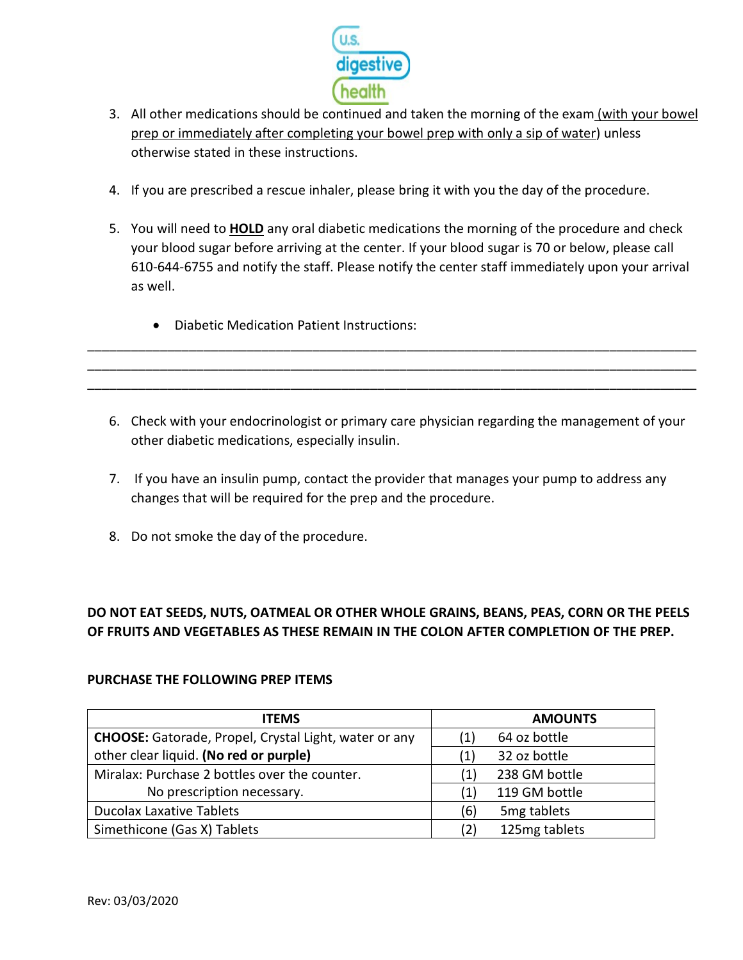

- 3. All other medications should be continued and taken the morning of the exam (with your bowel prep or immediately after completing your bowel prep with only a sip of water) unless otherwise stated in these instructions.
- 4. If you are prescribed a rescue inhaler, please bring it with you the day of the procedure.
- 5. You will need to **HOLD** any oral diabetic medications the morning of the procedure and check your blood sugar before arriving at the center. If your blood sugar is 70 or below, please call 610-644-6755 and notify the staff. Please notify the center staff immediately upon your arrival as well.
	- Diabetic Medication Patient Instructions:
- 6. Check with your endocrinologist or primary care physician regarding the management of your other diabetic medications, especially insulin.

\_\_\_\_\_\_\_\_\_\_\_\_\_\_\_\_\_\_\_\_\_\_\_\_\_\_\_\_\_\_\_\_\_\_\_\_\_\_\_\_\_\_\_\_\_\_\_\_\_\_\_\_\_\_\_\_\_\_\_\_\_\_\_\_\_\_\_\_\_\_\_\_\_\_\_\_\_\_\_\_\_\_\_\_ \_\_\_\_\_\_\_\_\_\_\_\_\_\_\_\_\_\_\_\_\_\_\_\_\_\_\_\_\_\_\_\_\_\_\_\_\_\_\_\_\_\_\_\_\_\_\_\_\_\_\_\_\_\_\_\_\_\_\_\_\_\_\_\_\_\_\_\_\_\_\_\_\_\_\_\_\_\_\_\_\_\_\_\_ \_\_\_\_\_\_\_\_\_\_\_\_\_\_\_\_\_\_\_\_\_\_\_\_\_\_\_\_\_\_\_\_\_\_\_\_\_\_\_\_\_\_\_\_\_\_\_\_\_\_\_\_\_\_\_\_\_\_\_\_\_\_\_\_\_\_\_\_\_\_\_\_\_\_\_\_\_\_\_\_\_\_\_\_

- 7. If you have an insulin pump, contact the provider that manages your pump to address any changes that will be required for the prep and the procedure.
- 8. Do not smoke the day of the procedure.

## **DO NOT EAT SEEDS, NUTS, OATMEAL OR OTHER WHOLE GRAINS, BEANS, PEAS, CORN OR THE PEELS OF FRUITS AND VEGETABLES AS THESE REMAIN IN THE COLON AFTER COMPLETION OF THE PREP.**

#### **PURCHASE THE FOLLOWING PREP ITEMS**

| <b>ITEMS</b>                                                 | <b>AMOUNTS</b>                  |
|--------------------------------------------------------------|---------------------------------|
| <b>CHOOSE:</b> Gatorade, Propel, Crystal Light, water or any | 64 oz bottle<br>$\vert 1 \vert$ |
| other clear liquid. (No red or purple)                       | 32 oz bottle<br>(1)             |
| Miralax: Purchase 2 bottles over the counter.                | 238 GM bottle<br>(1)            |
| No prescription necessary.                                   | 119 GM bottle<br>(1)            |
| <b>Ducolax Laxative Tablets</b>                              | 5 <sub>mg</sub> tablets<br>(6)  |
| Simethicone (Gas X) Tablets                                  | 125mg tablets<br>(2)            |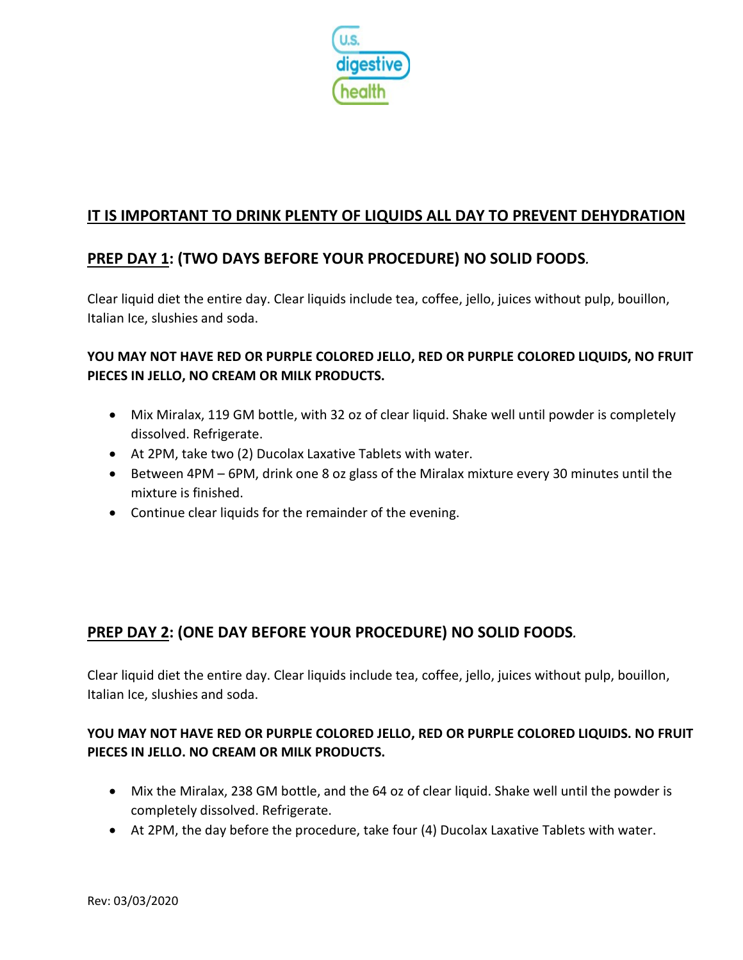

# **IT IS IMPORTANT TO DRINK PLENTY OF LIQUIDS ALL DAY TO PREVENT DEHYDRATION**

# **PREP DAY 1: (TWO DAYS BEFORE YOUR PROCEDURE) NO SOLID FOODS***.*

Clear liquid diet the entire day. Clear liquids include tea, coffee, jello, juices without pulp, bouillon, Italian Ice, slushies and soda.

### **YOU MAY NOT HAVE RED OR PURPLE COLORED JELLO, RED OR PURPLE COLORED LIQUIDS, NO FRUIT PIECES IN JELLO, NO CREAM OR MILK PRODUCTS.**

- Mix Miralax, 119 GM bottle, with 32 oz of clear liquid. Shake well until powder is completely dissolved. Refrigerate.
- At 2PM, take two (2) Ducolax Laxative Tablets with water.
- Between 4PM 6PM, drink one 8 oz glass of the Miralax mixture every 30 minutes until the mixture is finished.
- Continue clear liquids for the remainder of the evening.

## **PREP DAY 2: (ONE DAY BEFORE YOUR PROCEDURE) NO SOLID FOODS***.*

Clear liquid diet the entire day. Clear liquids include tea, coffee, jello, juices without pulp, bouillon, Italian Ice, slushies and soda.

### **YOU MAY NOT HAVE RED OR PURPLE COLORED JELLO, RED OR PURPLE COLORED LIQUIDS. NO FRUIT PIECES IN JELLO. NO CREAM OR MILK PRODUCTS.**

- Mix the Miralax, 238 GM bottle, and the 64 oz of clear liquid. Shake well until the powder is completely dissolved. Refrigerate.
- At 2PM, the day before the procedure, take four (4) Ducolax Laxative Tablets with water.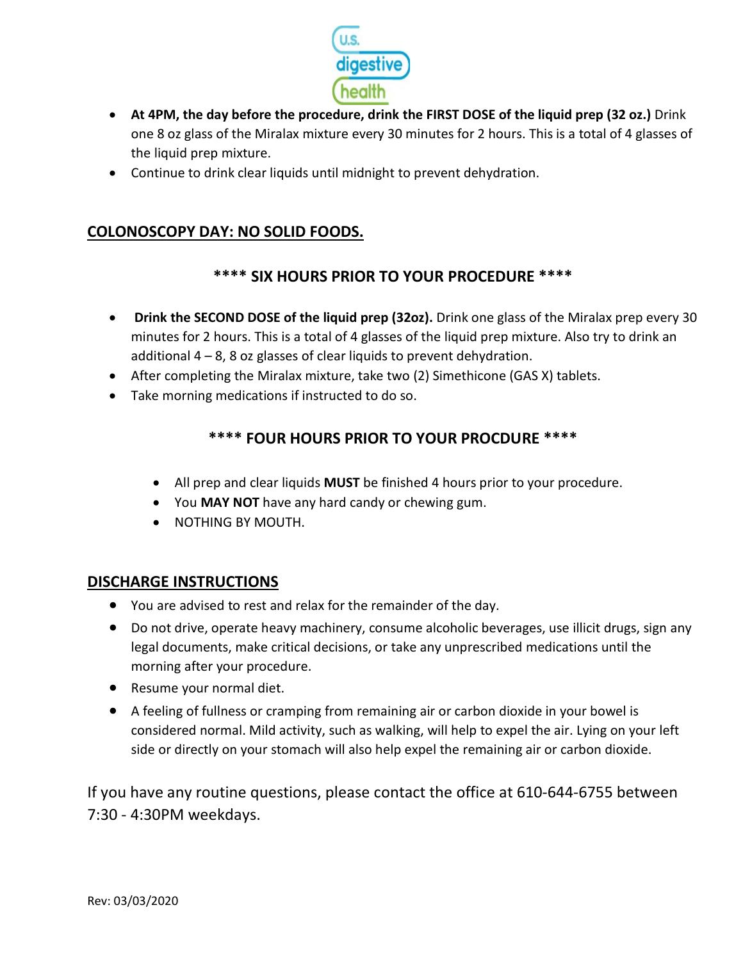

- **At 4PM, the day before the procedure, drink the FIRST DOSE of the liquid prep (32 oz.)** Drink one 8 oz glass of the Miralax mixture every 30 minutes for 2 hours. This is a total of 4 glasses of the liquid prep mixture.
- Continue to drink clear liquids until midnight to prevent dehydration.

## **COLONOSCOPY DAY: NO SOLID FOODS.**

## **\*\*\*\* SIX HOURS PRIOR TO YOUR PROCEDURE \*\*\*\***

- **Drink the SECOND DOSE of the liquid prep (32oz).** Drink one glass of the Miralax prep every 30 minutes for 2 hours. This is a total of 4 glasses of the liquid prep mixture. Also try to drink an additional  $4 - 8$ , 8 oz glasses of clear liquids to prevent dehydration.
- After completing the Miralax mixture, take two (2) Simethicone (GAS X) tablets.
- Take morning medications if instructed to do so.

## **\*\*\*\* FOUR HOURS PRIOR TO YOUR PROCDURE \*\*\*\***

- All prep and clear liquids **MUST** be finished 4 hours prior to your procedure.
- You **MAY NOT** have any hard candy or chewing gum.
- NOTHING BY MOUTH.

### **DISCHARGE INSTRUCTIONS**

- You are advised to rest and relax for the remainder of the day.
- Do not drive, operate heavy machinery, consume alcoholic beverages, use illicit drugs, sign any legal documents, make critical decisions, or take any unprescribed medications until the morning after your procedure.
- Resume your normal diet.
- A feeling of fullness or cramping from remaining air or carbon dioxide in your bowel is considered normal. Mild activity, such as walking, will help to expel the air. Lying on your left side or directly on your stomach will also help expel the remaining air or carbon dioxide.

If you have any routine questions, please contact the office at 610-644-6755 between 7:30 - 4:30PM weekdays.